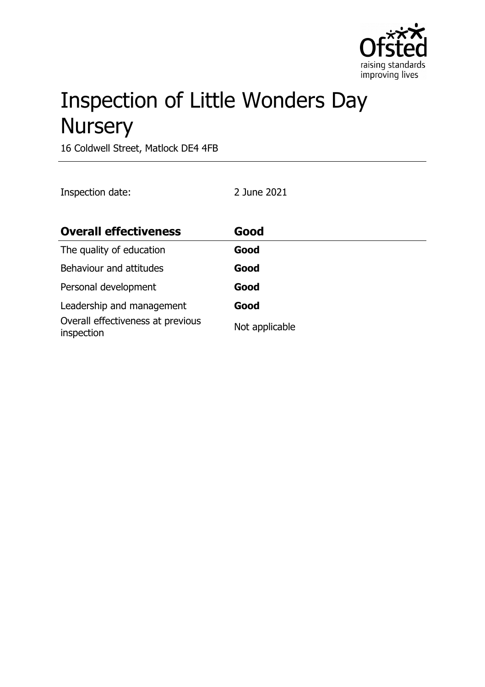

# Inspection of Little Wonders Day **Nursery**

16 Coldwell Street, Matlock DE4 4FB

Inspection date: 2 June 2021

| <b>Overall effectiveness</b>                    | Good           |
|-------------------------------------------------|----------------|
| The quality of education                        | Good           |
| Behaviour and attitudes                         | Good           |
| Personal development                            | Good           |
| Leadership and management                       | Good           |
| Overall effectiveness at previous<br>inspection | Not applicable |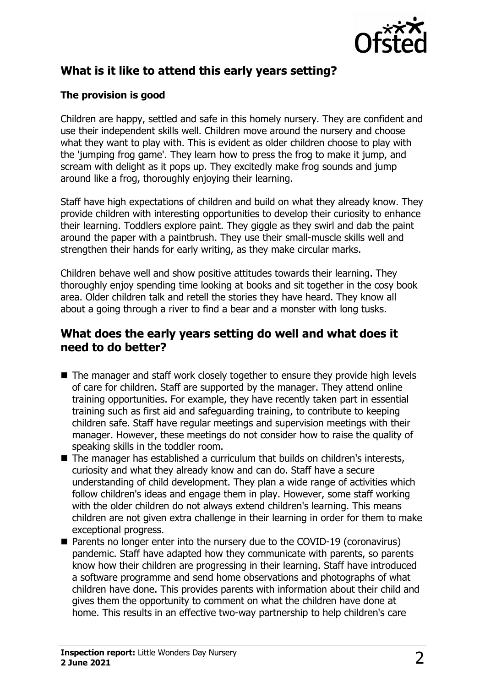

# **What is it like to attend this early years setting?**

#### **The provision is good**

Children are happy, settled and safe in this homely nursery. They are confident and use their independent skills well. Children move around the nursery and choose what they want to play with. This is evident as older children choose to play with the 'jumping frog game'. They learn how to press the frog to make it jump, and scream with delight as it pops up. They excitedly make frog sounds and jump around like a frog, thoroughly enjoying their learning.

Staff have high expectations of children and build on what they already know. They provide children with interesting opportunities to develop their curiosity to enhance their learning. Toddlers explore paint. They giggle as they swirl and dab the paint around the paper with a paintbrush. They use their small-muscle skills well and strengthen their hands for early writing, as they make circular marks.

Children behave well and show positive attitudes towards their learning. They thoroughly enjoy spending time looking at books and sit together in the cosy book area. Older children talk and retell the stories they have heard. They know all about a going through a river to find a bear and a monster with long tusks.

#### **What does the early years setting do well and what does it need to do better?**

- $\blacksquare$  The manager and staff work closely together to ensure they provide high levels of care for children. Staff are supported by the manager. They attend online training opportunities. For example, they have recently taken part in essential training such as first aid and safeguarding training, to contribute to keeping children safe. Staff have regular meetings and supervision meetings with their manager. However, these meetings do not consider how to raise the quality of speaking skills in the toddler room.
- $\blacksquare$  The manager has established a curriculum that builds on children's interests, curiosity and what they already know and can do. Staff have a secure understanding of child development. They plan a wide range of activities which follow children's ideas and engage them in play. However, some staff working with the older children do not always extend children's learning. This means children are not given extra challenge in their learning in order for them to make exceptional progress.
- Parents no longer enter into the nursery due to the COVID-19 (coronavirus) pandemic. Staff have adapted how they communicate with parents, so parents know how their children are progressing in their learning. Staff have introduced a software programme and send home observations and photographs of what children have done. This provides parents with information about their child and gives them the opportunity to comment on what the children have done at home. This results in an effective two-way partnership to help children's care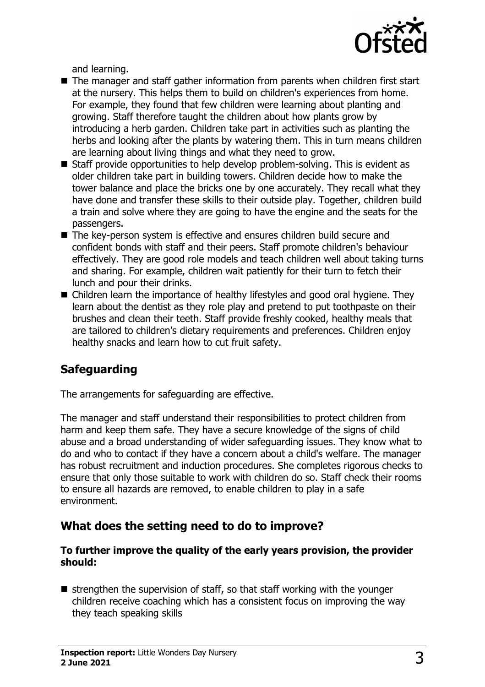

and learning.

- $\blacksquare$  The manager and staff gather information from parents when children first start at the nursery. This helps them to build on children's experiences from home. For example, they found that few children were learning about planting and growing. Staff therefore taught the children about how plants grow by introducing a herb garden. Children take part in activities such as planting the herbs and looking after the plants by watering them. This in turn means children are learning about living things and what they need to grow.
- $\blacksquare$  Staff provide opportunities to help develop problem-solving. This is evident as older children take part in building towers. Children decide how to make the tower balance and place the bricks one by one accurately. They recall what they have done and transfer these skills to their outside play. Together, children build a train and solve where they are going to have the engine and the seats for the passengers.
- $\blacksquare$  The key-person system is effective and ensures children build secure and confident bonds with staff and their peers. Staff promote children's behaviour effectively. They are good role models and teach children well about taking turns and sharing. For example, children wait patiently for their turn to fetch their lunch and pour their drinks.
- $\blacksquare$  Children learn the importance of healthy lifestyles and good oral hygiene. They learn about the dentist as they role play and pretend to put toothpaste on their brushes and clean their teeth. Staff provide freshly cooked, healthy meals that are tailored to children's dietary requirements and preferences. Children enjoy healthy snacks and learn how to cut fruit safety.

## **Safeguarding**

The arrangements for safeguarding are effective.

The manager and staff understand their responsibilities to protect children from harm and keep them safe. They have a secure knowledge of the signs of child abuse and a broad understanding of wider safeguarding issues. They know what to do and who to contact if they have a concern about a child's welfare. The manager has robust recruitment and induction procedures. She completes rigorous checks to ensure that only those suitable to work with children do so. Staff check their rooms to ensure all hazards are removed, to enable children to play in a safe environment.

#### **What does the setting need to do to improve?**

#### **To further improve the quality of the early years provision, the provider should:**

 $\blacksquare$  strengthen the supervision of staff, so that staff working with the younger children receive coaching which has a consistent focus on improving the way they teach speaking skills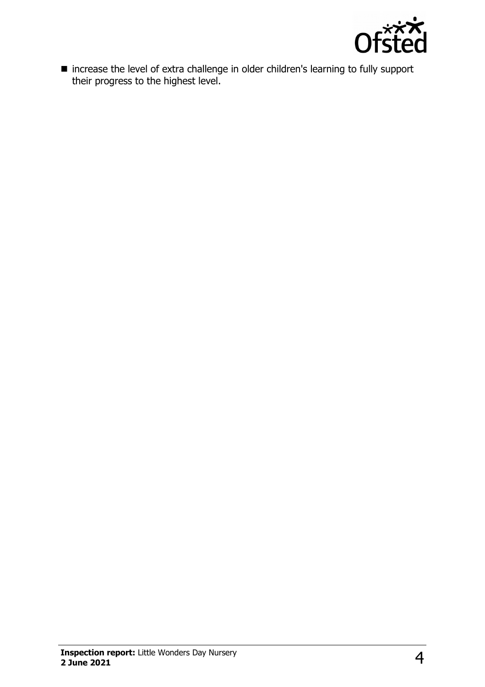

 $\blacksquare$  increase the level of extra challenge in older children's learning to fully support their progress to the highest level.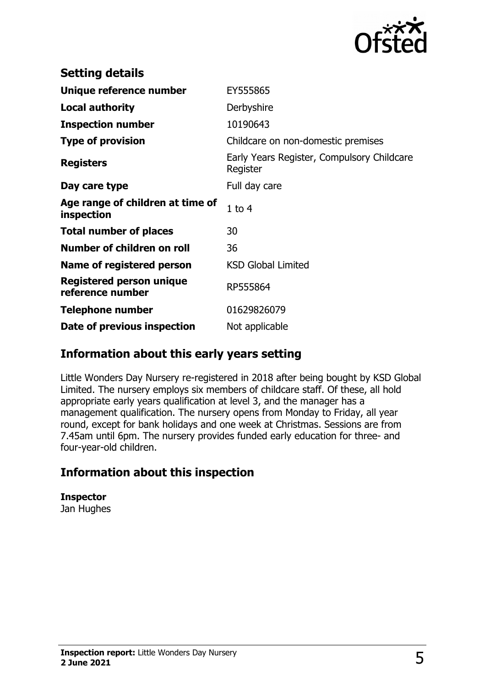

| <b>Setting details</b>                         |                                                        |
|------------------------------------------------|--------------------------------------------------------|
| Unique reference number                        | EY555865                                               |
| <b>Local authority</b>                         | Derbyshire                                             |
| <b>Inspection number</b>                       | 10190643                                               |
| <b>Type of provision</b>                       | Childcare on non-domestic premises                     |
| <b>Registers</b>                               | Early Years Register, Compulsory Childcare<br>Register |
| Day care type                                  | Full day care                                          |
| Age range of children at time of<br>inspection | $1$ to $4$                                             |
| <b>Total number of places</b>                  | 30                                                     |
| Number of children on roll                     | 36                                                     |
| Name of registered person                      | <b>KSD Global Limited</b>                              |
| Registered person unique<br>reference number   | RP555864                                               |
| <b>Telephone number</b>                        | 01629826079                                            |
| Date of previous inspection                    | Not applicable                                         |

#### **Information about this early years setting**

Little Wonders Day Nursery re-registered in 2018 after being bought by KSD Global Limited. The nursery employs six members of childcare staff. Of these, all hold appropriate early years qualification at level 3, and the manager has a management qualification. The nursery opens from Monday to Friday, all year round, except for bank holidays and one week at Christmas. Sessions are from 7.45am until 6pm. The nursery provides funded early education for three- and four-year-old children.

## **Information about this inspection**

**Inspector** Jan Hughes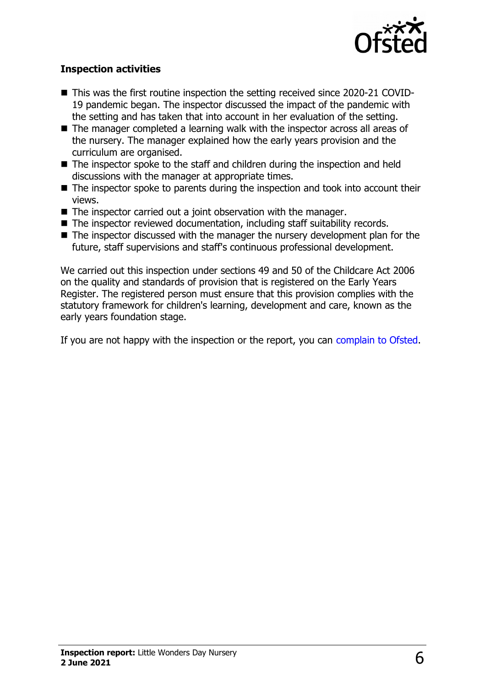

#### **Inspection activities**

- This was the first routine inspection the setting received since 2020-21 COVID-19 pandemic began. The inspector discussed the impact of the pandemic with the setting and has taken that into account in her evaluation of the setting.
- $\blacksquare$  The manager completed a learning walk with the inspector across all areas of the nursery. The manager explained how the early years provision and the curriculum are organised.
- $\blacksquare$  The inspector spoke to the staff and children during the inspection and held discussions with the manager at appropriate times.
- $\blacksquare$  The inspector spoke to parents during the inspection and took into account their views.
- $\blacksquare$  The inspector carried out a joint observation with the manager.
- The inspector reviewed documentation, including staff suitability records.
- $\blacksquare$  The inspector discussed with the manager the nursery development plan for the future, staff supervisions and staff's continuous professional development.

We carried out this inspection under sections 49 and 50 of the Childcare Act 2006 on the quality and standards of provision that is registered on the Early Years Register. The registered person must ensure that this provision complies with the statutory framework for children's learning, development and care, known as the early years foundation stage.

If you are not happy with the inspection or the report, you can [complain to Ofsted.](http://www.gov.uk/complain-ofsted-report)